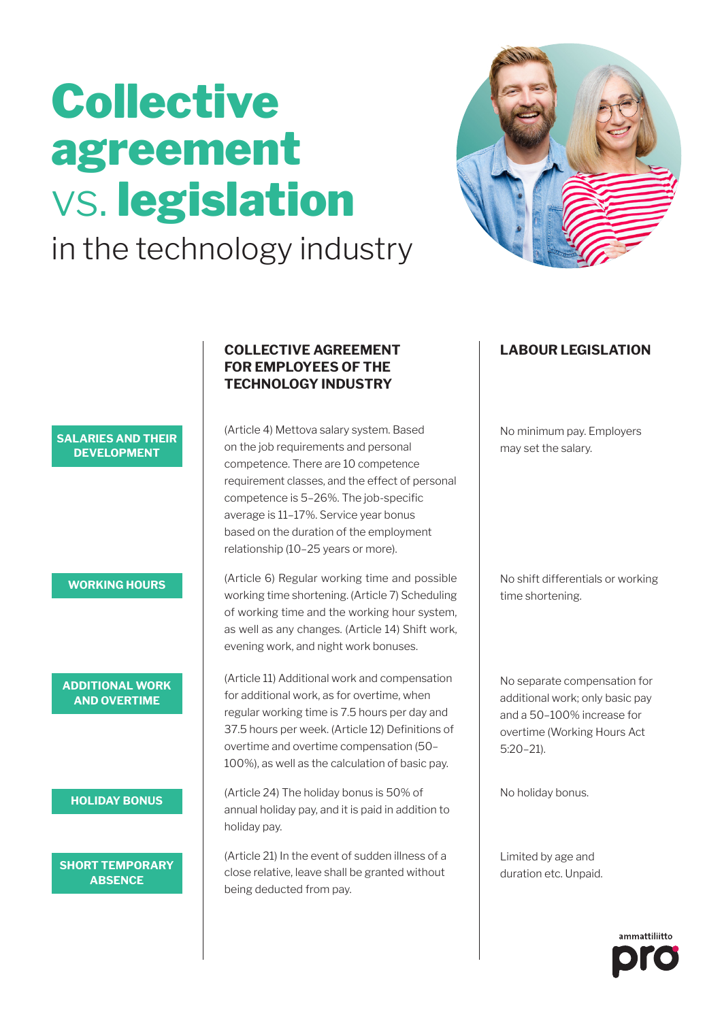# **Collective** agreement vs. legislation



# in the technology industry

# **COLLECTIVE AGREEMENT FOR EMPLOYEES OF THE TECHNOLOGY INDUSTRY**

**SALARIES AND THEIR DEVELOPMENT**

### **WORKING HOURS**

#### **ADDITIONAL WORK AND OVERTIME**

#### **HOLIDAY BONUS**

**SHORT TEMPORARY ABSENCE**

(Article 4) Mettova salary system. Based on the job requirements and personal competence. There are 10 competence requirement classes, and the effect of personal competence is 5–26%. The job-specific average is 11–17%. Service year bonus based on the duration of the employment relationship (10–25 years or more).

(Article 6) Regular working time and possible working time shortening. (Article 7) Scheduling of working time and the working hour system, as well as any changes. (Article 14) Shift work, evening work, and night work bonuses.

(Article 11) Additional work and compensation for additional work, as for overtime, when regular working time is 7.5 hours per day and 37.5 hours per week. (Article 12) Definitions of overtime and overtime compensation (50– 100%), as well as the calculation of basic pay.

(Article 24) The holiday bonus is 50% of annual holiday pay, and it is paid in addition to holiday pay.

(Article 21) In the event of sudden illness of a close relative, leave shall be granted without being deducted from pay.

# **LABOUR LEGISLATION**

No minimum pay. Employers may set the salary.

No shift differentials or working time shortening.

No separate compensation for additional work; only basic pay and a 50–100% increase for overtime (Working Hours Act 5:20–21).

No holiday bonus.

Limited by age and duration etc. Unpaid.